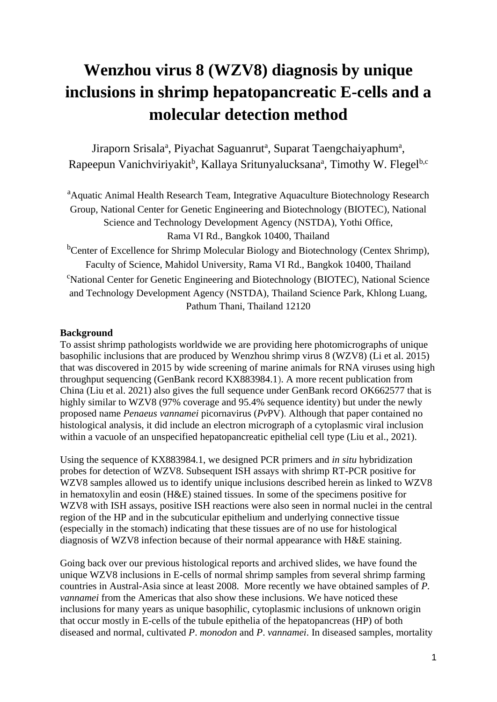# **Wenzhou virus 8 (WZV8) diagnosis by unique inclusions in shrimp hepatopancreatic E-cells and a molecular detection method**

Jiraporn Srisala<sup>a</sup>, Piyachat Saguanrut<sup>a</sup>, Suparat Taengchaiyaphum<sup>a</sup>, Rapeepun Vanichviriyakit<sup>b</sup>, Kallaya Sritunyalucksana<sup>a</sup>, Timothy W. Flegel<sup>b,c</sup>

<sup>a</sup>Aquatic Animal Health Research Team, Integrative Aquaculture Biotechnology Research Group, National Center for Genetic Engineering and Biotechnology (BIOTEC), National Science and Technology Development Agency (NSTDA), Yothi Office, Rama VI Rd., Bangkok 10400, Thailand

<sup>b</sup>Center of Excellence for Shrimp Molecular Biology and Biotechnology (Centex Shrimp), Faculty of Science, Mahidol University, Rama VI Rd., Bangkok 10400, Thailand <sup>c</sup>National Center for Genetic Engineering and Biotechnology (BIOTEC), National Science and Technology Development Agency (NSTDA), Thailand Science Park, Khlong Luang, Pathum Thani, Thailand 12120

## **Background**

To assist shrimp pathologists worldwide we are providing here photomicrographs of unique basophilic inclusions that are produced by Wenzhou shrimp virus 8 (WZV8) (Li et al. 2015) that was discovered in 2015 by wide screening of marine animals for RNA viruses using high throughput sequencing (GenBank record KX883984.1). A more recent publication from China (Liu et al. 2021) also gives the full sequence under GenBank record OK662577 that is highly similar to WZV8 (97% coverage and 95.4% sequence identity) but under the newly proposed name *Penaeus vannamei* picornavirus (*Pv*PV). Although that paper contained no histological analysis, it did include an electron micrograph of a cytoplasmic viral inclusion within a vacuole of an unspecified hepatopancreatic epithelial cell type (Liu et al., 2021).

Using the sequence of KX883984.1, we designed PCR primers and *in situ* hybridization probes for detection of WZV8. Subsequent ISH assays with shrimp RT-PCR positive for WZV8 samples allowed us to identify unique inclusions described herein as linked to WZV8 in hematoxylin and eosin (H&E) stained tissues. In some of the specimens positive for WZV8 with ISH assays, positive ISH reactions were also seen in normal nuclei in the central region of the HP and in the subcuticular epithelium and underlying connective tissue (especially in the stomach) indicating that these tissues are of no use for histological diagnosis of WZV8 infection because of their normal appearance with H&E staining.

Going back over our previous histological reports and archived slides, we have found the unique WZV8 inclusions in E-cells of normal shrimp samples from several shrimp farming countries in Austral-Asia since at least 2008. More recently we have obtained samples of *P. vannamei* from the Americas that also show these inclusions. We have noticed these inclusions for many years as unique basophilic, cytoplasmic inclusions of unknown origin that occur mostly in E-cells of the tubule epithelia of the hepatopancreas (HP) of both diseased and normal, cultivated *P*. *monodon* and *P*. *vannamei*. In diseased samples, mortality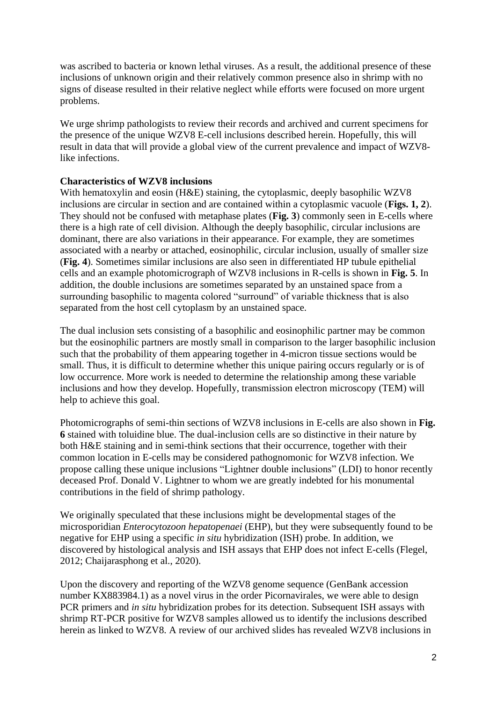was ascribed to bacteria or known lethal viruses. As a result, the additional presence of these inclusions of unknown origin and their relatively common presence also in shrimp with no signs of disease resulted in their relative neglect while efforts were focused on more urgent problems.

We urge shrimp pathologists to review their records and archived and current specimens for the presence of the unique WZV8 E-cell inclusions described herein. Hopefully, this will result in data that will provide a global view of the current prevalence and impact of WZV8 like infections.

## **Characteristics of WZV8 inclusions**

With hematoxylin and eosin (H&E) staining, the cytoplasmic, deeply basophilic WZV8 inclusions are circular in section and are contained within a cytoplasmic vacuole (**Figs. 1, 2**). They should not be confused with metaphase plates (**Fig. 3**) commonly seen in E-cells where there is a high rate of cell division. Although the deeply basophilic, circular inclusions are dominant, there are also variations in their appearance. For example, they are sometimes associated with a nearby or attached, eosinophilic, circular inclusion, usually of smaller size (**Fig. 4**). Sometimes similar inclusions are also seen in differentiated HP tubule epithelial cells and an example photomicrograph of WZV8 inclusions in R-cells is shown in **Fig. 5**. In addition, the double inclusions are sometimes separated by an unstained space from a surrounding basophilic to magenta colored "surround" of variable thickness that is also separated from the host cell cytoplasm by an unstained space.

The dual inclusion sets consisting of a basophilic and eosinophilic partner may be common but the eosinophilic partners are mostly small in comparison to the larger basophilic inclusion such that the probability of them appearing together in 4-micron tissue sections would be small. Thus, it is difficult to determine whether this unique pairing occurs regularly or is of low occurrence. More work is needed to determine the relationship among these variable inclusions and how they develop. Hopefully, transmission electron microscopy (TEM) will help to achieve this goal.

Photomicrographs of semi-thin sections of WZV8 inclusions in E-cells are also shown in **Fig. 6** stained with toluidine blue. The dual-inclusion cells are so distinctive in their nature by both H&E staining and in semi-think sections that their occurrence, together with their common location in E-cells may be considered pathognomonic for WZV8 infection. We propose calling these unique inclusions "Lightner double inclusions" (LDI) to honor recently deceased Prof. Donald V. Lightner to whom we are greatly indebted for his monumental contributions in the field of shrimp pathology.

We originally speculated that these inclusions might be developmental stages of the microsporidian *Enterocytozoon hepatopenaei* (EHP), but they were subsequently found to be negative for EHP using a specific *in situ* hybridization (ISH) probe. In addition, we discovered by histological analysis and ISH assays that EHP does not infect E-cells (Flegel, 2012; Chaijarasphong et al., 2020).

Upon the discovery and reporting of the WZV8 genome sequence (GenBank accession number KX883984.1) as a novel virus in the order Picornavirales, we were able to design PCR primers and *in situ* hybridization probes for its detection. Subsequent ISH assays with shrimp RT-PCR positive for WZV8 samples allowed us to identify the inclusions described herein as linked to WZV8. A review of our archived slides has revealed WZV8 inclusions in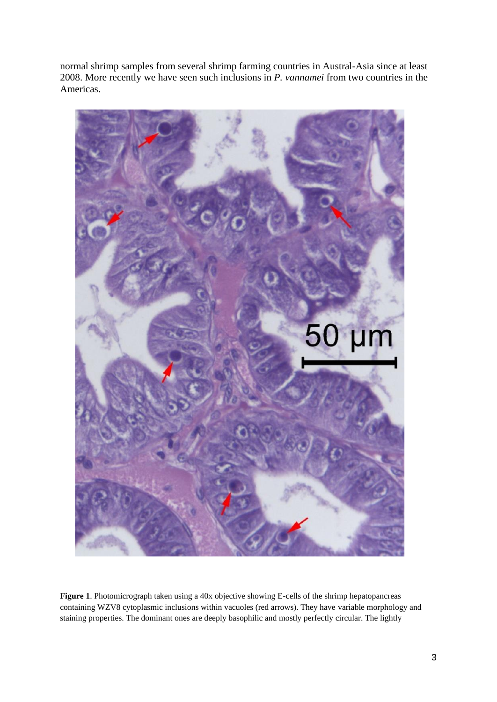normal shrimp samples from several shrimp farming countries in Austral-Asia since at least 2008. More recently we have seen such inclusions in *P. vannamei* from two countries in the Americas.



**Figure 1**. Photomicrograph taken using a 40x objective showing E-cells of the shrimp hepatopancreas containing WZV8 cytoplasmic inclusions within vacuoles (red arrows). They have variable morphology and staining properties. The dominant ones are deeply basophilic and mostly perfectly circular. The lightly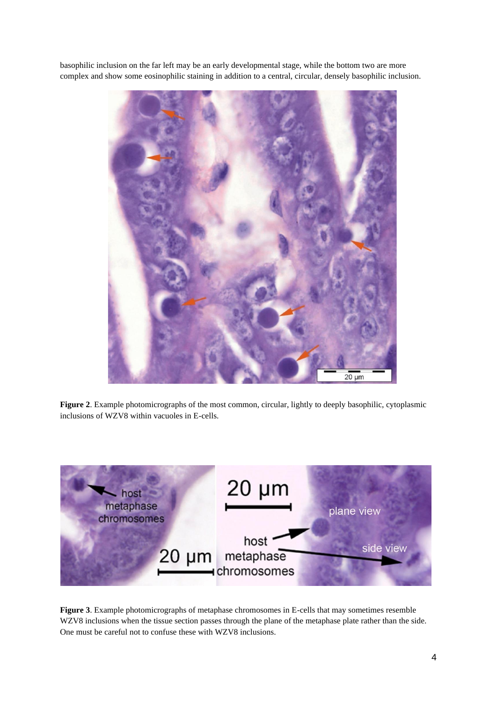basophilic inclusion on the far left may be an early developmental stage, while the bottom two are more complex and show some eosinophilic staining in addition to a central, circular, densely basophilic inclusion.



**Figure 2**. Example photomicrographs of the most common, circular, lightly to deeply basophilic, cytoplasmic inclusions of WZV8 within vacuoles in E-cells.



**Figure 3**. Example photomicrographs of metaphase chromosomes in E-cells that may sometimes resemble WZV8 inclusions when the tissue section passes through the plane of the metaphase plate rather than the side. One must be careful not to confuse these with WZV8 inclusions.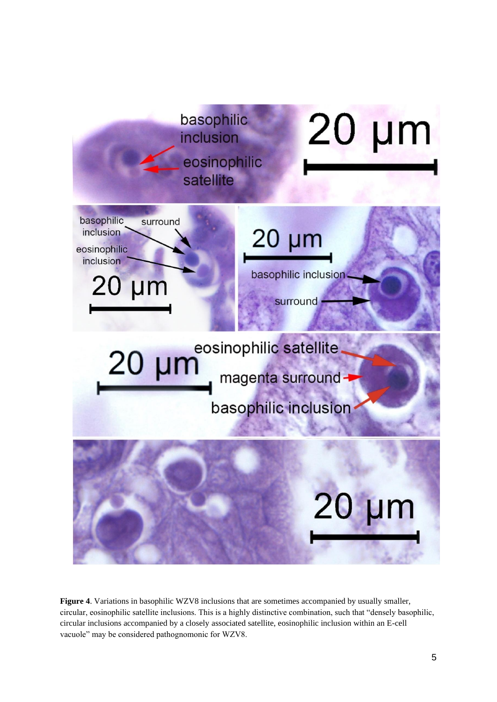

**Figure 4**. Variations in basophilic WZV8 inclusions that are sometimes accompanied by usually smaller, circular, eosinophilic satellite inclusions. This is a highly distinctive combination, such that "densely basophilic, circular inclusions accompanied by a closely associated satellite, eosinophilic inclusion within an E-cell vacuole" may be considered pathognomonic for WZV8.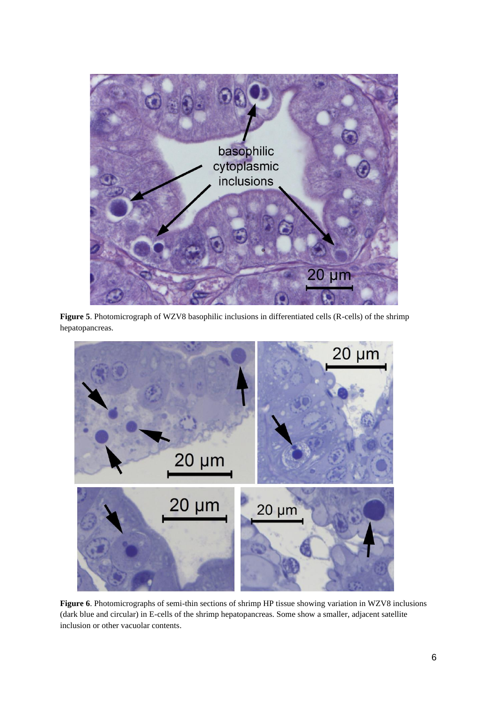

**Figure 5**. Photomicrograph of WZV8 basophilic inclusions in differentiated cells (R-cells) of the shrimp hepatopancreas.



**Figure 6**. Photomicrographs of semi-thin sections of shrimp HP tissue showing variation in WZV8 inclusions (dark blue and circular) in E-cells of the shrimp hepatopancreas. Some show a smaller, adjacent satellite inclusion or other vacuolar contents.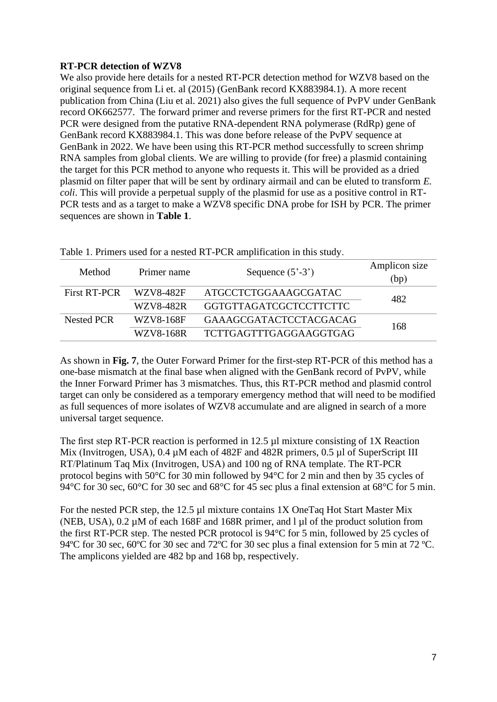# **RT-PCR detection of WZV8**

We also provide here details for a nested RT-PCR detection method for WZV8 based on the original sequence from Li et. al (2015) (GenBank record KX883984.1). A more recent publication from China (Liu et al. 2021) also gives the full sequence of PvPV under GenBank record OK662577. The forward primer and reverse primers for the first RT-PCR and nested PCR were designed from the putative RNA-dependent RNA polymerase (RdRp) gene of GenBank record KX883984.1. This was done before release of the PvPV sequence at GenBank in 2022. We have been using this RT-PCR method successfully to screen shrimp RNA samples from global clients. We are willing to provide (for free) a plasmid containing the target for this PCR method to anyone who requests it. This will be provided as a dried plasmid on filter paper that will be sent by ordinary airmail and can be eluted to transform *E. coli*. This will provide a perpetual supply of the plasmid for use as a positive control in RT-PCR tests and as a target to make a WZV8 specific DNA probe for ISH by PCR. The primer sequences are shown in **Table 1**.

| Method              | Primer name      | Sequence $(5'-3')$            | Amplicon size<br>(bp) |  |
|---------------------|------------------|-------------------------------|-----------------------|--|
| <b>First RT-PCR</b> | WZV8-482F        | ATGCCTCTGGAAAGCGATAC          | 482                   |  |
|                     | WZV8-482R        | GGTGTTAGATCGCTCCTTCTTC        |                       |  |
| <b>Nested PCR</b>   | WZV8-168F        | <b>GAAAGCGATACTCCTACGACAG</b> | 168                   |  |
|                     | <b>WZV8-168R</b> | <b>TCTTGAGTTTGAGGAAGGTGAG</b> |                       |  |

Table 1. Primers used for a nested RT-PCR amplification in this study.

As shown in **Fig. 7**, the Outer Forward Primer for the first-step RT-PCR of this method has a one-base mismatch at the final base when aligned with the GenBank record of PvPV, while the Inner Forward Primer has 3 mismatches. Thus, this RT-PCR method and plasmid control target can only be considered as a temporary emergency method that will need to be modified as full sequences of more isolates of WZV8 accumulate and are aligned in search of a more universal target sequence.

The first step RT-PCR reaction is performed in 12.5 µl mixture consisting of 1X Reaction Mix (Invitrogen, USA), 0.4  $\mu$ M each of 482F and 482R primers, 0.5  $\mu$ l of SuperScript III RT/Platinum Taq Mix (Invitrogen, USA) and 100 ng of RNA template. The RT-PCR protocol begins with 50°C for 30 min followed by 94°C for 2 min and then by 35 cycles of 94°C for 30 sec, 60°C for 30 sec and 68°C for 45 sec plus a final extension at 68°C for 5 min.

For the nested PCR step, the 12.5 µl mixture contains 1X OneTaq Hot Start Master Mix (NEB, USA),  $0.2 \mu M$  of each 168F and 168R primer, and l  $\mu$ l of the product solution from the first RT-PCR step. The nested PCR protocol is 94°C for 5 min, followed by 25 cycles of 94°C for 30 sec, 60°C for 30 sec and 72°C for 30 sec plus a final extension for 5 min at 72 °C. The amplicons yielded are 482 bp and 168 bp, respectively.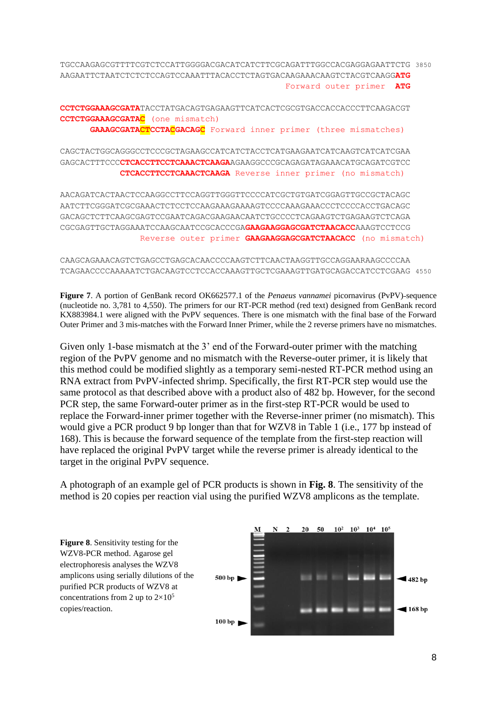TGCCAAGAGCGTTTTCGTCTCCATTGGGGACGACATCATCTTCGCAGATTTGGCCACGAGGAGAATTCTG 3850 AAGAATTCTAATCTCTCTCCAGTCCAAATTTACACCTCTAGTGACAAGAAACAAGTCTACGTCAAGG**ATG** Forward outer primer **ATG**

**CCTCTGGAAAGCGATA**TACCTATGACAGTGAGAAGTTCATCACTCGCGTGACCACCACCCTTCAAGACGT **CCTCTGGAAAGCGATAC** (one mismatch) **GAAAGCGATACTCCTACGACAGC** Forward inner primer (three mismatches)

CAGCTACTGGCAGGGCCTCCCGCTAGAAGCCATCATCTACCTCATGAAGAATCATCAAGTCATCATCGAA GAGCACTTTCCC**CTCACCTTCCTCAAACTCAAGA**AGAAGGCCCGCAGAGATAGAAACATGCAGATCGTCC **CTCACCTTCCTCAAACTCAAGA** Reverse inner primer (no mismatch)

AACAGATCACTAACTCCAAGGCCTTCCAGGTTGGGTTCCCCATCGCTGTGATCGGAGTTGCCGCTACAGC AATCTTCGGGATCGCGAAACTCTCCTCCAAGAAAGAAAAGTCCCCAAAGAAACCCTCCCCACCTGACAGC GACAGCTCTTCAAGCGAGTCCGAATCAGACGAAGAACAATCTGCCCCTCAGAAGTCTGAGAAGTCTCAGA CGCGAGTTGCTAGGAAATCCAAGCAATCCGCACCCGA**GAAGAAGGAGCGATCTAACACC**AAAGTCCTCCG Reverse outer primer **GAAGAAGGAGCGATCTAACACC** (no mismatch)

#### CAAGCAGAAACAGTCTGAGCCTGAGCACAACCCCAAGTCTTCAACTAAGGTTGCCAGGAARAAGCCCCAA TCAGAACCCCAAAAATCTGACAAGTCCTCCACCAAAGTTGCTCGAAAGTTGATGCAGACCATCCTCGAAG 4550

**Figure 7**. A portion of GenBank record OK662577.1 of the *Penaeus vannamei* picornavirus (PvPV) sequence (nucleotide no. 3,781 to 4,550). The primers for our RT-PCR method (red text) designed from GenBank record KX883984.1 were aligned with the PvPV sequences. There is one mismatch with the final base of the Forward Outer Primer and 3 mis-matches with the Forward Inner Primer, while the 2 reverse primers have no mismatches.

Given only 1-base mismatch at the 3' end of the Forward-outer primer with the matching region of the PvPV genome and no mismatch with the Reverse-outer primer, it is likely that this method could be modified slightly as a temporary semi-nested RT-PCR method using an RNA extract from PvPV-infected shrimp. Specifically, the first RT-PCR step would use the same protocol as that described above with a product also of 482 bp. However, for the second PCR step, the same Forward-outer primer as in the first-step RT-PCR would be used to replace the Forward-inner primer together with the Reverse-inner primer (no mismatch). This would give a PCR product 9 bp longer than that for WZV8 in Table 1 (i.e., 177 bp instead of 168). This is because the forward sequence of the template from the first-step reaction will have replaced the original PvPV target while the reverse primer is already identical to the target in the original PvPV sequence.

A photograph of an example gel of PCR products is shown in **Fig. 8**. The sensitivity of the method is 20 copies per reaction vial using the purified WZV8 amplicons as the template.

**Figure 8**. Sensitivity testing for the WZV8-PCR method. Agarose gel electrophoresis analyses the WZV8 amplicons using serially dilutions of the purified PCR products of WZV8 at concentrations from 2 up to  $2\times10^5$ copies/reaction.

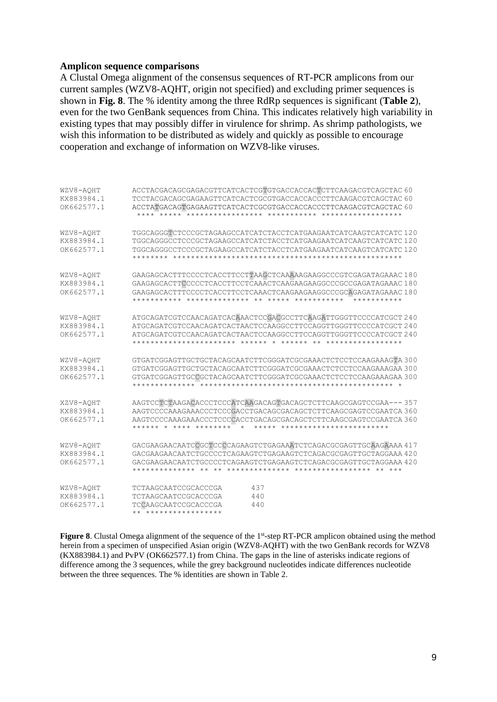#### **Amplicon sequence comparisons**

A Clustal Omega alignment of the consensus sequences of RT-PCR amplicons from our current samples (WZV8-AQHT, origin not specified) and excluding primer sequences is shown in **Fig. 8**. The % identity among the three RdRp sequences is significant (**Table 2**), even for the two GenBank sequences from China. This indicates relatively high variability in existing types that may possibly differ in virulence for shrimp. As shrimp pathologists, we wish this information to be distributed as widely and quickly as possible to encourage cooperation and exchange of information on WZV8-like viruses.

| WZV8-AQHT<br>KX883984.1<br>OK662577.1 | ACCTACGACAGCGAGACGTTCATCACTCGTGTGACCACCACTCTTCAAGACGTCAGCTAC 60<br>TCCTACGACAGCGAGAAGTTCATCACTCGCGTGACCACCACCCTTCAAGACGTCAGCTAC 60                                                                                                                                                 |
|---------------------------------------|------------------------------------------------------------------------------------------------------------------------------------------------------------------------------------------------------------------------------------------------------------------------------------|
| WZV8-AQHT<br>KX883984.1<br>OK662577.1 | TGGCAGGGTCTCCCGCTAGAAGCCATCATCTACCTCATGAAGAATCATCAAGTCATCATC 120<br>TGGCAGGGCCTCCCGCTAGAAGCCATCATCTACCTCATGAAGAATCATCAAGTCATCATC 120<br>TGGCAGGGCCTCCCGCTAGAAGCCATCATCTACCTCATGAAGAATCATCAAGTCATCATC 120                                                                           |
| WZV8-AOHT<br>KX883984.1<br>OK662577.1 | GAAGAGCACTTTCCCCTCACCTTCCTTAAGCTCAAAAAGAAGGCCCGTCGAGATAGAAAC180<br>GAAGAGCACTTCCCCCTCACCTTCCTCAAACTCAAGAAGAAGGCCCGCCGAGATAGAAAC 180<br>GAAGAGCACTTTCCCCTCACCTTCCTCAAACTCAAGAAGAAGGCCCGCAGAGATAGAAAC180<br>***********                                                              |
| WZV8-AQHT<br>KX883984.1<br>OK662577.1 | ATGCAGATCGTCCAACAGATCACAAACTCCGACGCCTTCAAGATTGGGTTCCCCATCGCT 240<br>ATGCAGATCGTCCAACAGATCACTAACTCCAAGGCCTTCCAGGTTGGGTTCCCCATCGCT 240<br>ATGCAGATCGTCCAACAGATCACTAACTCCAAGGCCTTCCAGGTTGGGTTCCCCATCGCT 240                                                                           |
| WZV8-AQHT<br>KX883984.1<br>OK662577.1 | GTGATCGGAGTTGCTGCTACAGCAATCTTCGGGATCGCGAAACTCTCCTCCAAGAAAGTA 300<br>GTGATCGGAGTTGCCGCTACAGCAATCTTCGGGATCGCGAAACTCTCCCAAGAAGAAGAA 300                                                                                                                                               |
| XZV8-AQHT<br>KX883984.1<br>OK662577.1 | AAGTCCTCTAAGACACCCTCCCATCAAGACAGTGACAGCTCTTCAAGCGAGTCCGAA--- 357<br>AAGTCCCCAAAGAAACCCTCCCGACCTGACAGCGACAGCTCTTCAAGCGAGTCCGAATCA 360<br>AAGTCCCCAAAGAAACCCTCCCCACCTGACAGCGACAGCTCTTCAAGCGAGTCCGAATCA 360<br>****** *<br>**** ********<br>$\star$<br>***** ************************ |
| WZV8-AOHT<br>KX883984.1<br>OK662577.1 | GACGAAGAACAATCCGCTCCCCAGAAGTCTGAGAAATCTCAGACGCGAGTTGCAAGAAAA 417<br>GACGAAGAACAATCTGCCCCTCAGAAGTCTGAGAAGTCTCAGACGCGAGTTGCTAGGAAA 420<br>GACGAAGAACAATCTGCCCCTCAGAAGTCTGAGAAGTCTCAGACGCGAGTTGCTAGGAAA 420                                                                           |
| WZV8-AOHT<br>KX883984.1<br>OK662577.1 | 437<br>TCTAAGCAATCCGCACCCGA<br>TCTAAGCAATCCGCACCCGA<br>440<br>TCCAAGCAATCCGCACCCGA<br>440<br>** *****************                                                                                                                                                                  |

Figure 8. Clustal Omega alignment of the sequence of the 1<sup>st</sup>-step RT-PCR amplicon obtained using the method herein from a specimen of unspecified Asian origin (WZV8-AQHT) with the two GenBank records for WZV8 (KX883984.1) and PvPV (OK662577.1) from China. The gaps in the line of asterisks indicate regions of difference among the 3 sequences, while the grey background nucleotides indicate differences nucleotide between the three sequences. The % identities are shown in Table 2.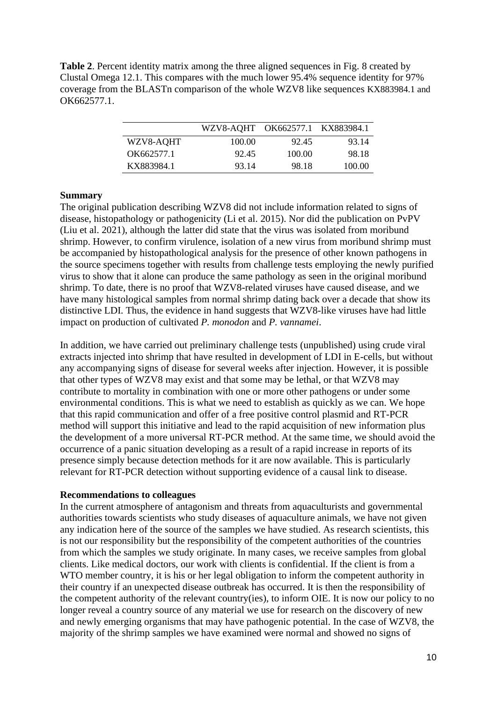**Table 2**. Percent identity matrix among the three aligned sequences in Fig. 8 created by Clustal Omega 12.1. This compares with the much lower 95.4% sequence identity for 97% coverage from the BLASTn comparison of the whole WZV8 like sequences KX883984.1 and OK662577.1.

|            | WZV8-AQHT OK662577.1 KX883984.1 |        |        |
|------------|---------------------------------|--------|--------|
| WZV8-AQHT  | 100.00                          | 92.45  | 93.14  |
| OK662577.1 | 92.45                           | 100.00 | 98.18  |
| KX883984.1 | 93.14                           | 98.18  | 100.00 |

## **Summary**

The original publication describing WZV8 did not include information related to signs of disease, histopathology or pathogenicity (Li et al. 2015). Nor did the publication on PvPV (Liu et al. 2021), although the latter did state that the virus was isolated from moribund shrimp. However, to confirm virulence, isolation of a new virus from moribund shrimp must be accompanied by histopathological analysis for the presence of other known pathogens in the source specimens together with results from challenge tests employing the newly purified virus to show that it alone can produce the same pathology as seen in the original moribund shrimp. To date, there is no proof that WZV8-related viruses have caused disease, and we have many histological samples from normal shrimp dating back over a decade that show its distinctive LDI. Thus, the evidence in hand suggests that WZV8-like viruses have had little impact on production of cultivated *P. monodon* and *P. vannamei*.

In addition, we have carried out preliminary challenge tests (unpublished) using crude viral extracts injected into shrimp that have resulted in development of LDI in E-cells, but without any accompanying signs of disease for several weeks after injection. However, it is possible that other types of WZV8 may exist and that some may be lethal, or that WZV8 may contribute to mortality in combination with one or more other pathogens or under some environmental conditions. This is what we need to establish as quickly as we can. We hope that this rapid communication and offer of a free positive control plasmid and RT-PCR method will support this initiative and lead to the rapid acquisition of new information plus the development of a more universal RT-PCR method. At the same time, we should avoid the occurrence of a panic situation developing as a result of a rapid increase in reports of its presence simply because detection methods for it are now available. This is particularly relevant for RT-PCR detection without supporting evidence of a causal link to disease.

#### **Recommendations to colleagues**

In the current atmosphere of antagonism and threats from aquaculturists and governmental authorities towards scientists who study diseases of aquaculture animals, we have not given any indication here of the source of the samples we have studied. As research scientists, this is not our responsibility but the responsibility of the competent authorities of the countries from which the samples we study originate. In many cases, we receive samples from global clients. Like medical doctors, our work with clients is confidential. If the client is from a WTO member country, it is his or her legal obligation to inform the competent authority in their country if an unexpected disease outbreak has occurred. It is then the responsibility of the competent authority of the relevant country(ies), to inform OIE. It is now our policy to no longer reveal a country source of any material we use for research on the discovery of new and newly emerging organisms that may have pathogenic potential. In the case of WZV8, the majority of the shrimp samples we have examined were normal and showed no signs of